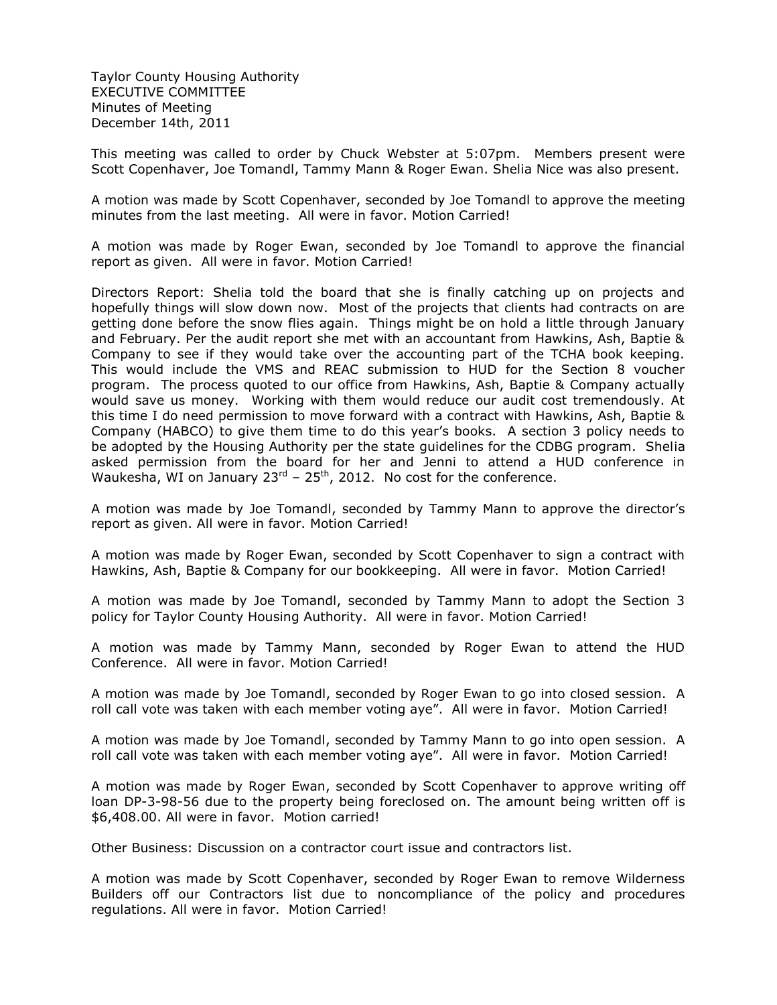Taylor County Housing Authority EXECUTIVE COMMITTEE Minutes of Meeting December 14th, 2011

This meeting was called to order by Chuck Webster at 5:07pm. Members present were Scott Copenhaver, Joe Tomandl, Tammy Mann & Roger Ewan. Shelia Nice was also present.

A motion was made by Scott Copenhaver, seconded by Joe Tomandl to approve the meeting minutes from the last meeting. All were in favor. Motion Carried!

A motion was made by Roger Ewan, seconded by Joe Tomandl to approve the financial report as given. All were in favor. Motion Carried!

Directors Report: Shelia told the board that she is finally catching up on projects and hopefully things will slow down now. Most of the projects that clients had contracts on are getting done before the snow flies again. Things might be on hold a little through January and February. Per the audit report she met with an accountant from Hawkins, Ash, Baptie & Company to see if they would take over the accounting part of the TCHA book keeping. This would include the VMS and REAC submission to HUD for the Section 8 voucher program. The process quoted to our office from Hawkins, Ash, Baptie & Company actually would save us money. Working with them would reduce our audit cost tremendously. At this time I do need permission to move forward with a contract with Hawkins, Ash, Baptie & Company (HABCO) to give them time to do this year's books. A section 3 policy needs to be adopted by the Housing Authority per the state guidelines for the CDBG program. Shelia asked permission from the board for her and Jenni to attend a HUD conference in Waukesha, WI on January  $23^{rd}$  –  $25^{th}$ , 2012. No cost for the conference.

A motion was made by Joe Tomandl, seconded by Tammy Mann to approve the director's report as given. All were in favor. Motion Carried!

A motion was made by Roger Ewan, seconded by Scott Copenhaver to sign a contract with Hawkins, Ash, Baptie & Company for our bookkeeping. All were in favor. Motion Carried!

A motion was made by Joe Tomandl, seconded by Tammy Mann to adopt the Section 3 policy for Taylor County Housing Authority. All were in favor. Motion Carried!

A motion was made by Tammy Mann, seconded by Roger Ewan to attend the HUD Conference. All were in favor. Motion Carried!

A motion was made by Joe Tomandl, seconded by Roger Ewan to go into closed session. A roll call vote was taken with each member voting aye". All were in favor. Motion Carried!

A motion was made by Joe Tomandl, seconded by Tammy Mann to go into open session. A roll call vote was taken with each member voting aye". All were in favor. Motion Carried!

A motion was made by Roger Ewan, seconded by Scott Copenhaver to approve writing off loan DP-3-98-56 due to the property being foreclosed on. The amount being written off is \$6,408.00. All were in favor. Motion carried!

Other Business: Discussion on a contractor court issue and contractors list.

A motion was made by Scott Copenhaver, seconded by Roger Ewan to remove Wilderness Builders off our Contractors list due to noncompliance of the policy and procedures regulations. All were in favor. Motion Carried!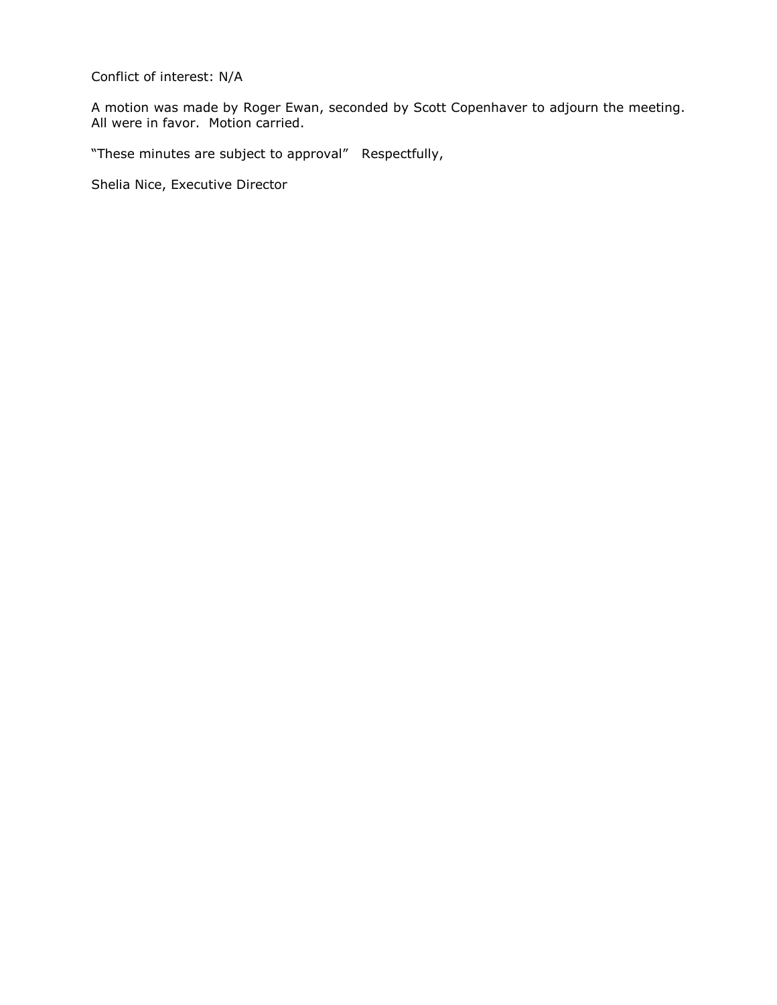Conflict of interest: N/A

A motion was made by Roger Ewan, seconded by Scott Copenhaver to adjourn the meeting. All were in favor. Motion carried.

"These minutes are subject to approval" Respectfully,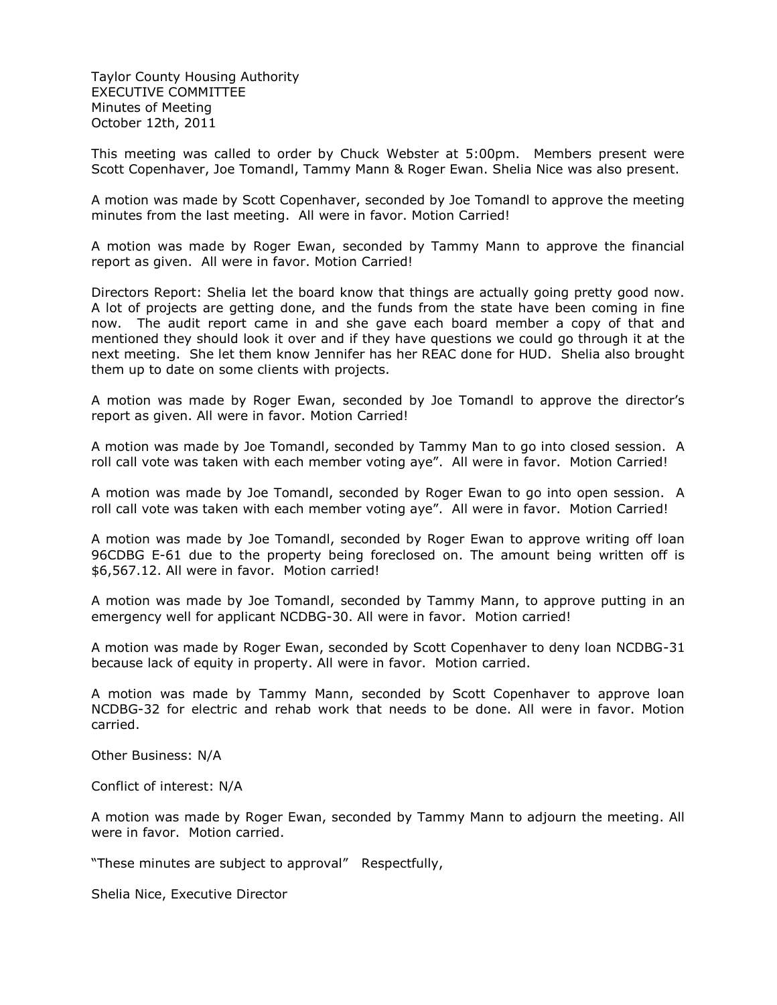Taylor County Housing Authority EXECUTIVE COMMITTEE Minutes of Meeting October 12th, 2011

This meeting was called to order by Chuck Webster at 5:00pm. Members present were Scott Copenhaver, Joe Tomandl, Tammy Mann & Roger Ewan. Shelia Nice was also present.

A motion was made by Scott Copenhaver, seconded by Joe Tomandl to approve the meeting minutes from the last meeting. All were in favor. Motion Carried!

A motion was made by Roger Ewan, seconded by Tammy Mann to approve the financial report as given. All were in favor. Motion Carried!

Directors Report: Shelia let the board know that things are actually going pretty good now. A lot of projects are getting done, and the funds from the state have been coming in fine now. The audit report came in and she gave each board member a copy of that and mentioned they should look it over and if they have questions we could go through it at the next meeting. She let them know Jennifer has her REAC done for HUD. Shelia also brought them up to date on some clients with projects.

A motion was made by Roger Ewan, seconded by Joe Tomandl to approve the director's report as given. All were in favor. Motion Carried!

A motion was made by Joe Tomandl, seconded by Tammy Man to go into closed session. A roll call vote was taken with each member voting aye". All were in favor. Motion Carried!

A motion was made by Joe Tomandl, seconded by Roger Ewan to go into open session. A roll call vote was taken with each member voting aye". All were in favor. Motion Carried!

A motion was made by Joe Tomandl, seconded by Roger Ewan to approve writing off loan 96CDBG E-61 due to the property being foreclosed on. The amount being written off is \$6,567.12. All were in favor. Motion carried!

A motion was made by Joe Tomandl, seconded by Tammy Mann, to approve putting in an emergency well for applicant NCDBG-30. All were in favor. Motion carried!

A motion was made by Roger Ewan, seconded by Scott Copenhaver to deny loan NCDBG-31 because lack of equity in property. All were in favor. Motion carried.

A motion was made by Tammy Mann, seconded by Scott Copenhaver to approve loan NCDBG-32 for electric and rehab work that needs to be done. All were in favor. Motion carried.

Other Business: N/A

Conflict of interest: N/A

A motion was made by Roger Ewan, seconded by Tammy Mann to adjourn the meeting. All were in favor. Motion carried.

"These minutes are subject to approval" Respectfully,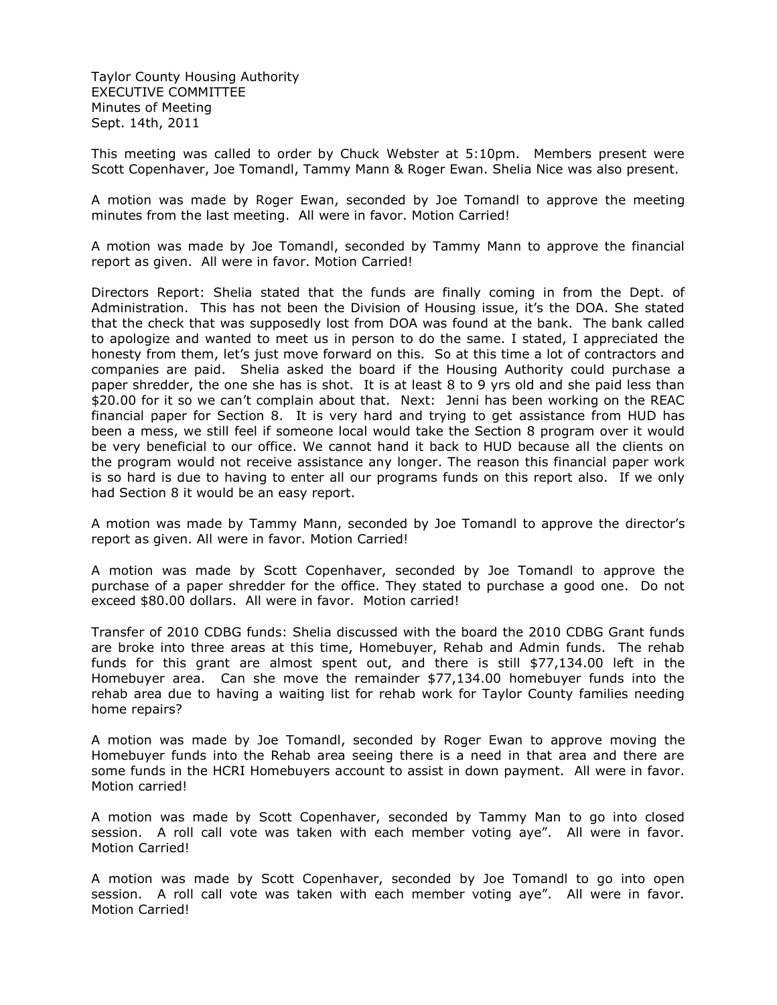Taylor County Housing Authority EXECUTIVE COMMITTEE Minutes of Meeting Sept. 14th, 2011

This meeting was called to order by Chuck Webster at 5:10pm. Members present were Scott Copenhaver, Joe Tomandl, Tammy Mann & Roger Ewan. Shelia Nice was also present.

A motion was made by Roger Ewan, seconded by Joe Tomandl to approve the meeting minutes from the last meeting. All were in favor. Motion Carried!

A motion was made by Joe Tomandl, seconded by Tammy Mann to approve the financial report as given. All were in favor. Motion Carried!

Directors Report: Shelia stated that the funds are finally coming in from the Dept. of Administration. This has not been the Division of Housing issue, it's the DOA. She stated that the check that was supposedly lost from DOA was found at the bank. The bank called to apologize and wanted to meet us in person to do the same. I stated, I appreciated the honesty from them, let's just move forward on this. So at this time a lot of contractors and companies are paid. Shelia asked the board if the Housing Authority could purchase a paper shredder, the one she has is shot. It is at least 8 to 9 yrs old and she paid less than \$20.00 for it so we can't complain about that. Next: Jenni has been working on the REAC financial paper for Section 8. It is very hard and trying to get assistance from HUD has been a mess, we still feel if someone local would take the Section 8 program over it would be very beneficial to our office. We cannot hand it back to HUD because all the clients on the program would not receive assistance any longer. The reason this financial paper work is so hard is due to having to enter all our programs funds on this report also. If we only had Section 8 it would be an easy report.

A motion was made by Tammy Mann, seconded by Joe Tomandl to approve the director's report as given. All were in favor. Motion Carried!

A motion was made by Scott Copenhaver, seconded by Joe Tomandl to approve the purchase of a paper shredder for the office. They stated to purchase a good one. Do not exceed \$80.00 dollars. All were in favor. Motion carried!

Transfer of 2010 CDBG funds: Shelia discussed with the board the 2010 CDBG Grant funds are broke into three areas at this time, Homebuyer, Rehab and Admin funds. The rehab funds for this grant are almost spent out, and there is still \$77,134.00 left in the Homebuyer area. Can she move the remainder \$77,134.00 homebuyer funds into the rehab area due to having a waiting list for rehab work for Taylor County families needing home repairs?

A motion was made by Joe Tomandl, seconded by Roger Ewan to approve moving the Homebuyer funds into the Rehab area seeing there is a need in that area and there are some funds in the HCRI Homebuyers account to assist in down payment. All were in favor. Motion carried!

A motion was made by Scott Copenhaver, seconded by Tammy Man to go into closed session. A roll call vote was taken with each member voting aye". All were in favor. Motion Carried!

A motion was made by Scott Copenhaver, seconded by Joe Tomandl to go into open session. A roll call vote was taken with each member voting aye". All were in favor. Motion Carried!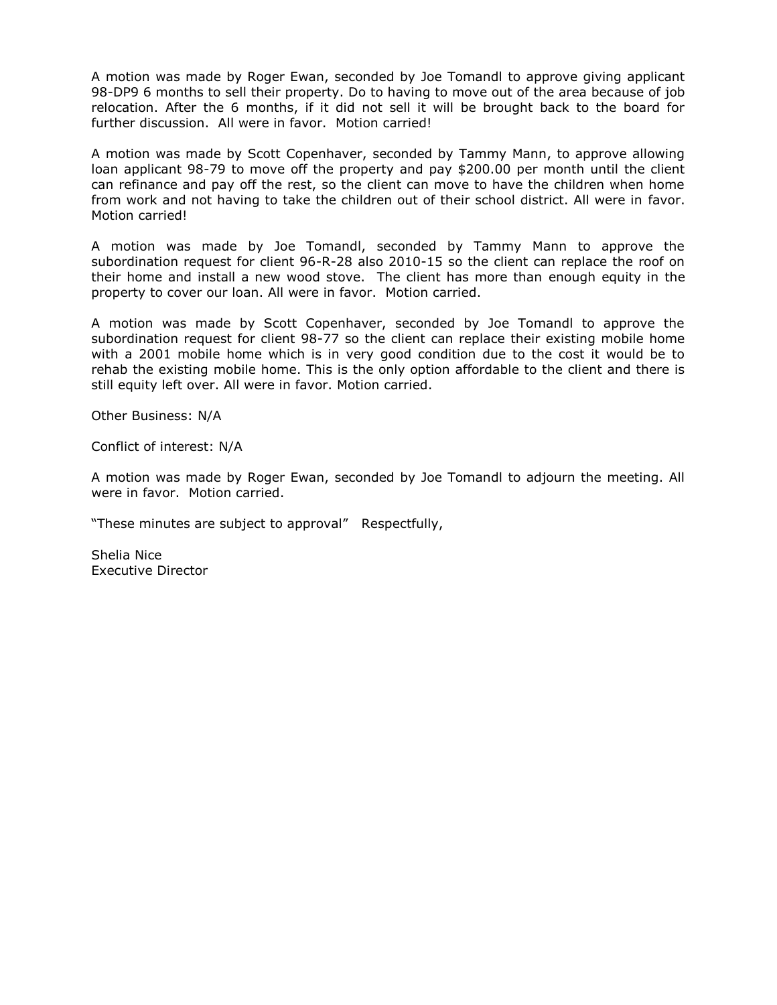A motion was made by Roger Ewan, seconded by Joe Tomandl to approve giving applicant 98-DP9 6 months to sell their property. Do to having to move out of the area because of job relocation. After the 6 months, if it did not sell it will be brought back to the board for further discussion. All were in favor. Motion carried!

A motion was made by Scott Copenhaver, seconded by Tammy Mann, to approve allowing loan applicant 98-79 to move off the property and pay \$200.00 per month until the client can refinance and pay off the rest, so the client can move to have the children when home from work and not having to take the children out of their school district. All were in favor. Motion carried!

A motion was made by Joe Tomandl, seconded by Tammy Mann to approve the subordination request for client 96-R-28 also 2010-15 so the client can replace the roof on their home and install a new wood stove. The client has more than enough equity in the property to cover our loan. All were in favor. Motion carried.

A motion was made by Scott Copenhaver, seconded by Joe Tomandl to approve the subordination request for client 98-77 so the client can replace their existing mobile home with a 2001 mobile home which is in very good condition due to the cost it would be to rehab the existing mobile home. This is the only option affordable to the client and there is still equity left over. All were in favor. Motion carried.

Other Business: N/A

Conflict of interest: N/A

A motion was made by Roger Ewan, seconded by Joe Tomandl to adjourn the meeting. All were in favor. Motion carried.

"These minutes are subject to approval" Respectfully,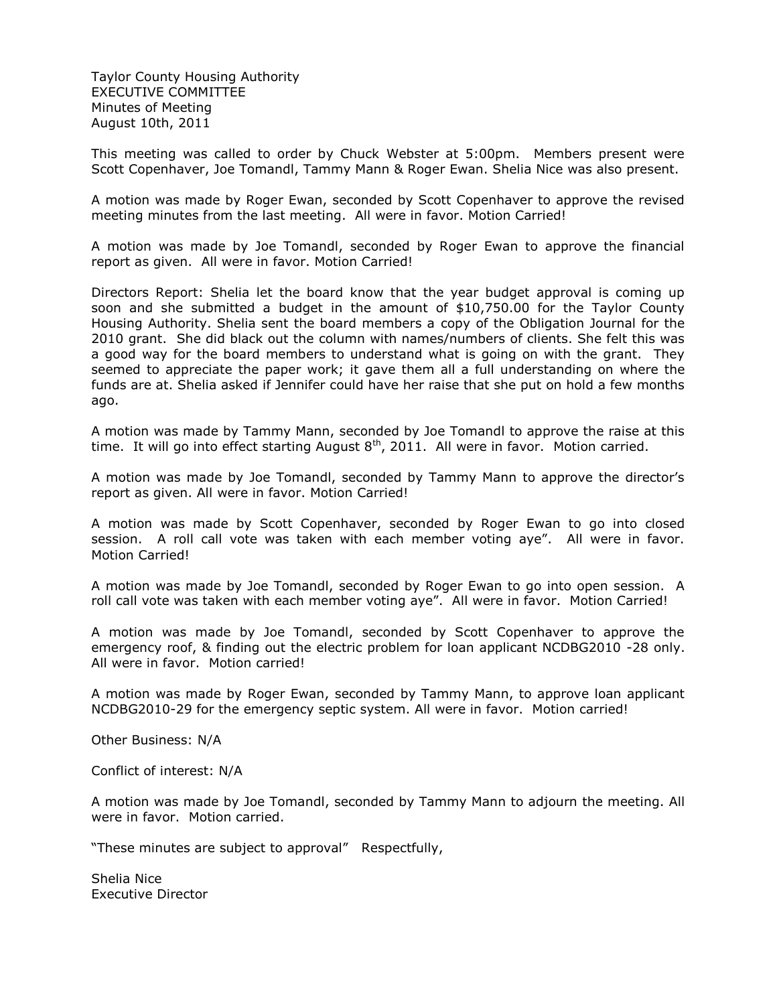Taylor County Housing Authority EXECUTIVE COMMITTEE Minutes of Meeting August 10th, 2011

This meeting was called to order by Chuck Webster at 5:00pm. Members present were Scott Copenhaver, Joe Tomandl, Tammy Mann & Roger Ewan. Shelia Nice was also present.

A motion was made by Roger Ewan, seconded by Scott Copenhaver to approve the revised meeting minutes from the last meeting. All were in favor. Motion Carried!

A motion was made by Joe Tomandl, seconded by Roger Ewan to approve the financial report as given. All were in favor. Motion Carried!

Directors Report: Shelia let the board know that the year budget approval is coming up soon and she submitted a budget in the amount of \$10,750.00 for the Taylor County Housing Authority. Shelia sent the board members a copy of the Obligation Journal for the 2010 grant. She did black out the column with names/numbers of clients. She felt this was a good way for the board members to understand what is going on with the grant. They seemed to appreciate the paper work; it gave them all a full understanding on where the funds are at. Shelia asked if Jennifer could have her raise that she put on hold a few months ago.

A motion was made by Tammy Mann, seconded by Joe Tomandl to approve the raise at this time. It will go into effect starting August  $8<sup>th</sup>$ , 2011. All were in favor. Motion carried.

A motion was made by Joe Tomandl, seconded by Tammy Mann to approve the director's report as given. All were in favor. Motion Carried!

A motion was made by Scott Copenhaver, seconded by Roger Ewan to go into closed session. A roll call vote was taken with each member voting aye". All were in favor. Motion Carried!

A motion was made by Joe Tomandl, seconded by Roger Ewan to go into open session. A roll call vote was taken with each member voting aye". All were in favor. Motion Carried!

A motion was made by Joe Tomandl, seconded by Scott Copenhaver to approve the emergency roof, & finding out the electric problem for loan applicant NCDBG2010 -28 only. All were in favor. Motion carried!

A motion was made by Roger Ewan, seconded by Tammy Mann, to approve loan applicant NCDBG2010-29 for the emergency septic system. All were in favor. Motion carried!

Other Business: N/A

Conflict of interest: N/A

A motion was made by Joe Tomandl, seconded by Tammy Mann to adjourn the meeting. All were in favor. Motion carried.

"These minutes are subject to approval" Respectfully,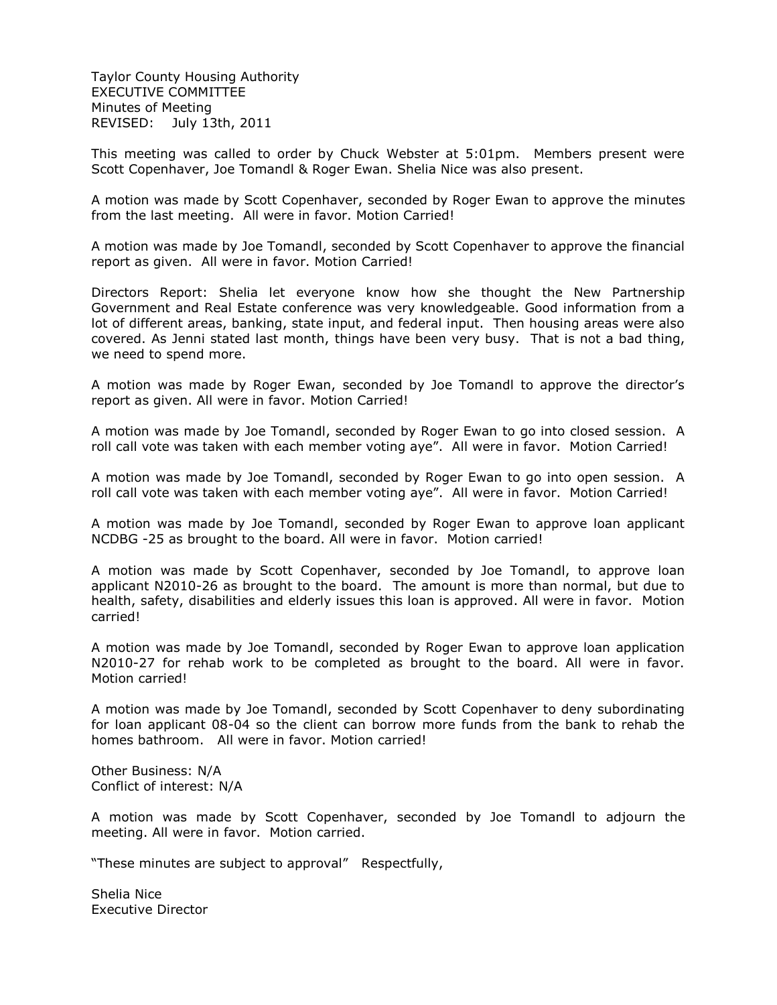Taylor County Housing Authority EXECUTIVE COMMITTEE Minutes of Meeting REVISED: July 13th, 2011

This meeting was called to order by Chuck Webster at 5:01pm. Members present were Scott Copenhaver, Joe Tomandl & Roger Ewan. Shelia Nice was also present.

A motion was made by Scott Copenhaver, seconded by Roger Ewan to approve the minutes from the last meeting. All were in favor. Motion Carried!

A motion was made by Joe Tomandl, seconded by Scott Copenhaver to approve the financial report as given. All were in favor. Motion Carried!

Directors Report: Shelia let everyone know how she thought the New Partnership Government and Real Estate conference was very knowledgeable. Good information from a lot of different areas, banking, state input, and federal input. Then housing areas were also covered. As Jenni stated last month, things have been very busy. That is not a bad thing, we need to spend more.

A motion was made by Roger Ewan, seconded by Joe Tomandl to approve the director's report as given. All were in favor. Motion Carried!

A motion was made by Joe Tomandl, seconded by Roger Ewan to go into closed session. A roll call vote was taken with each member voting aye". All were in favor. Motion Carried!

A motion was made by Joe Tomandl, seconded by Roger Ewan to go into open session. A roll call vote was taken with each member voting aye". All were in favor. Motion Carried!

A motion was made by Joe Tomandl, seconded by Roger Ewan to approve loan applicant NCDBG -25 as brought to the board. All were in favor. Motion carried!

A motion was made by Scott Copenhaver, seconded by Joe Tomandl, to approve loan applicant N2010-26 as brought to the board. The amount is more than normal, but due to health, safety, disabilities and elderly issues this loan is approved. All were in favor. Motion carried!

A motion was made by Joe Tomandl, seconded by Roger Ewan to approve loan application N2010-27 for rehab work to be completed as brought to the board. All were in favor. Motion carried!

A motion was made by Joe Tomandl, seconded by Scott Copenhaver to deny subordinating for loan applicant 08-04 so the client can borrow more funds from the bank to rehab the homes bathroom. All were in favor. Motion carried!

Other Business: N/A Conflict of interest: N/A

A motion was made by Scott Copenhaver, seconded by Joe Tomandl to adjourn the meeting. All were in favor. Motion carried.

"These minutes are subject to approval" Respectfully,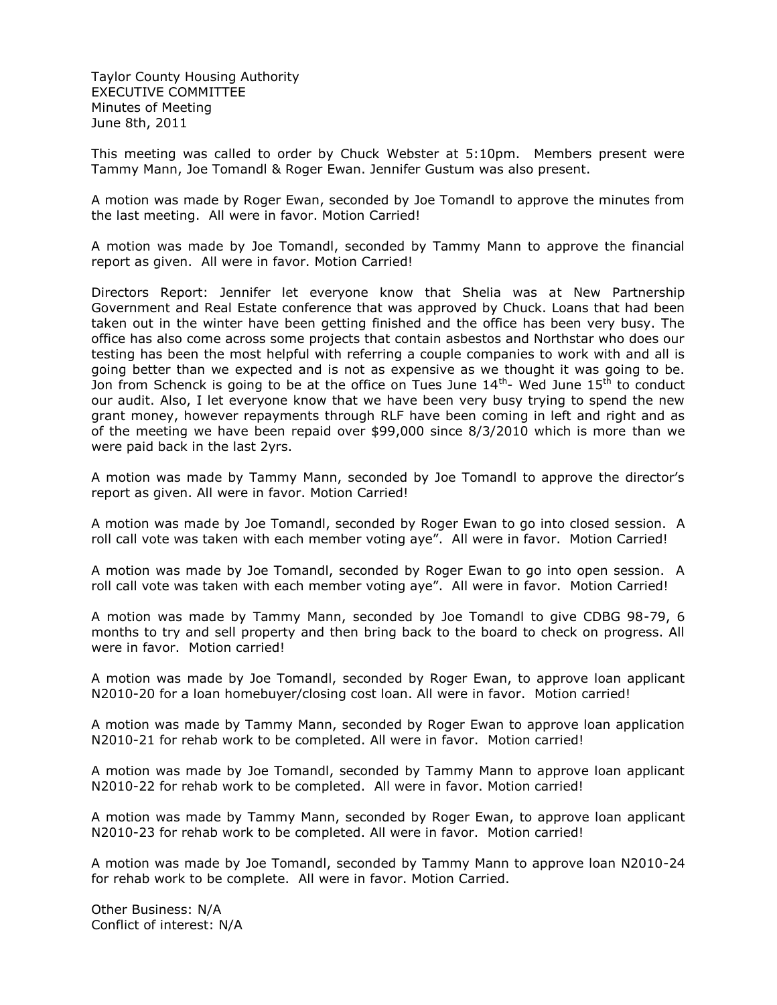Taylor County Housing Authority EXECUTIVE COMMITTEE Minutes of Meeting June 8th, 2011

This meeting was called to order by Chuck Webster at 5:10pm. Members present were Tammy Mann, Joe Tomandl & Roger Ewan. Jennifer Gustum was also present.

A motion was made by Roger Ewan, seconded by Joe Tomandl to approve the minutes from the last meeting. All were in favor. Motion Carried!

A motion was made by Joe Tomandl, seconded by Tammy Mann to approve the financial report as given. All were in favor. Motion Carried!

Directors Report: Jennifer let everyone know that Shelia was at New Partnership Government and Real Estate conference that was approved by Chuck. Loans that had been taken out in the winter have been getting finished and the office has been very busy. The office has also come across some projects that contain asbestos and Northstar who does our testing has been the most helpful with referring a couple companies to work with and all is going better than we expected and is not as expensive as we thought it was going to be. Jon from Schenck is going to be at the office on Tues June  $14^{\text{th}}$ - Wed June  $15^{\text{th}}$  to conduct our audit. Also, I let everyone know that we have been very busy trying to spend the new grant money, however repayments through RLF have been coming in left and right and as of the meeting we have been repaid over \$99,000 since 8/3/2010 which is more than we were paid back in the last 2yrs.

A motion was made by Tammy Mann, seconded by Joe Tomandl to approve the director's report as given. All were in favor. Motion Carried!

A motion was made by Joe Tomandl, seconded by Roger Ewan to go into closed session. A roll call vote was taken with each member voting aye". All were in favor. Motion Carried!

A motion was made by Joe Tomandl, seconded by Roger Ewan to go into open session. A roll call vote was taken with each member voting aye". All were in favor. Motion Carried!

A motion was made by Tammy Mann, seconded by Joe Tomandl to give CDBG 98-79, 6 months to try and sell property and then bring back to the board to check on progress. All were in favor. Motion carried!

A motion was made by Joe Tomandl, seconded by Roger Ewan, to approve loan applicant N2010-20 for a loan homebuyer/closing cost loan. All were in favor. Motion carried!

A motion was made by Tammy Mann, seconded by Roger Ewan to approve loan application N2010-21 for rehab work to be completed. All were in favor. Motion carried!

A motion was made by Joe Tomandl, seconded by Tammy Mann to approve loan applicant N2010-22 for rehab work to be completed. All were in favor. Motion carried!

A motion was made by Tammy Mann, seconded by Roger Ewan, to approve loan applicant N2010-23 for rehab work to be completed. All were in favor. Motion carried!

A motion was made by Joe Tomandl, seconded by Tammy Mann to approve loan N2010-24 for rehab work to be complete. All were in favor. Motion Carried.

Other Business: N/A Conflict of interest: N/A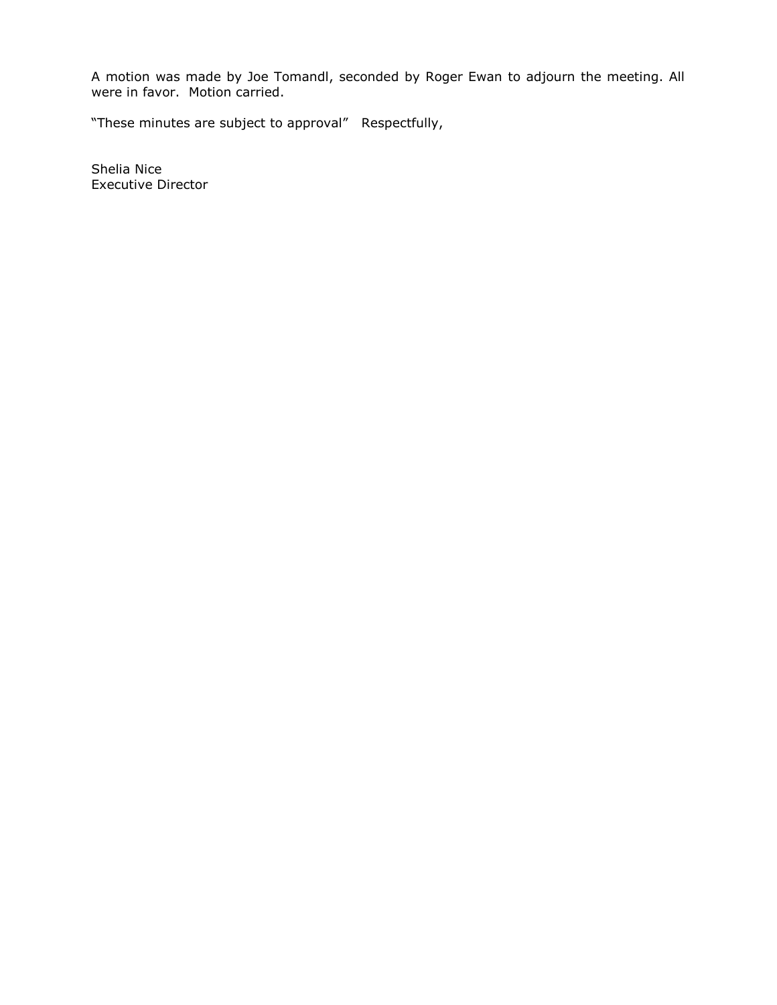A motion was made by Joe Tomandl, seconded by Roger Ewan to adjourn the meeting. All were in favor. Motion carried.

"These minutes are subject to approval" Respectfully,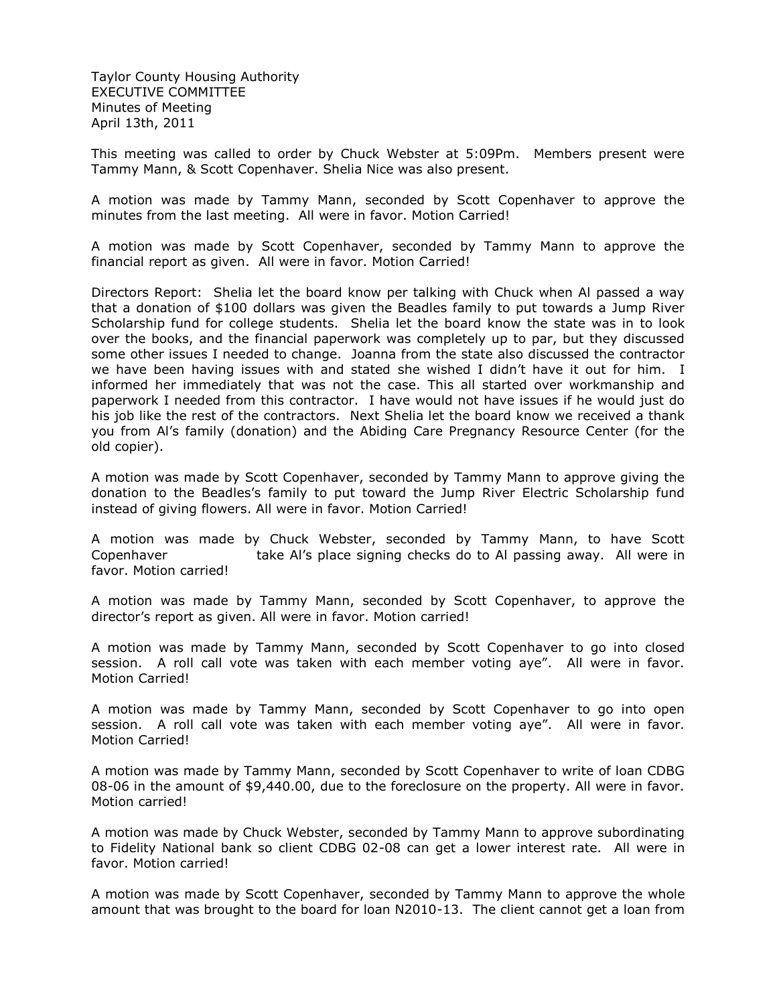Taylor County Housing Authority EXECUTIVE COMMITTEE Minutes of Meeting April 13th, 2011

This meeting was called to order by Chuck Webster at 5:09Pm. Members present were Tammy Mann, & Scott Copenhaver. Shelia Nice was also present.

A motion was made by Tammy Mann, seconded by Scott Copenhaver to approve the minutes from the last meeting. All were in favor. Motion Carried!

A motion was made by Scott Copenhaver, seconded by Tammy Mann to approve the financial report as given. All were in favor. Motion Carried!

Directors Report: Shelia let the board know per talking with Chuck when Al passed a way that a donation of \$100 dollars was given the Beadles family to put towards a Jump River Scholarship fund for college students. Shelia let the board know the state was in to look over the books, and the financial paperwork was completely up to par, but they discussed some other issues I needed to change. Joanna from the state also discussed the contractor we have been having issues with and stated she wished I didn't have it out for him. I informed her immediately that was not the case. This all started over workmanship and paperwork I needed from this contractor. I have would not have issues if he would just do his job like the rest of the contractors. Next Shelia let the board know we received a thank you from Al's family (donation) and the Abiding Care Pregnancy Resource Center (for the old copier).

A motion was made by Scott Copenhaver, seconded by Tammy Mann to approve giving the donation to the Beadles's family to put toward the Jump River Electric Scholarship fund instead of giving flowers. All were in favor. Motion Carried!

A motion was made by Chuck Webster, seconded by Tammy Mann, to have Scott Copenhaver take Al's place signing checks do to Al passing away. All were in favor. Motion carried!

A motion was made by Tammy Mann, seconded by Scott Copenhaver, to approve the director's report as given. All were in favor. Motion carried!

A motion was made by Tammy Mann, seconded by Scott Copenhaver to go into closed session. A roll call vote was taken with each member voting aye". All were in favor. Motion Carried!

A motion was made by Tammy Mann, seconded by Scott Copenhaver to go into open session. A roll call vote was taken with each member voting aye". All were in favor. Motion Carried!

A motion was made by Tammy Mann, seconded by Scott Copenhaver to write of loan CDBG 08-06 in the amount of \$9,440.00, due to the foreclosure on the property. All were in favor. Motion carried!

A motion was made by Chuck Webster, seconded by Tammy Mann to approve subordinating to Fidelity National bank so client CDBG 02-08 can get a lower interest rate. All were in favor. Motion carried!

A motion was made by Scott Copenhaver, seconded by Tammy Mann to approve the whole amount that was brought to the board for loan N2010-13. The client cannot get a loan from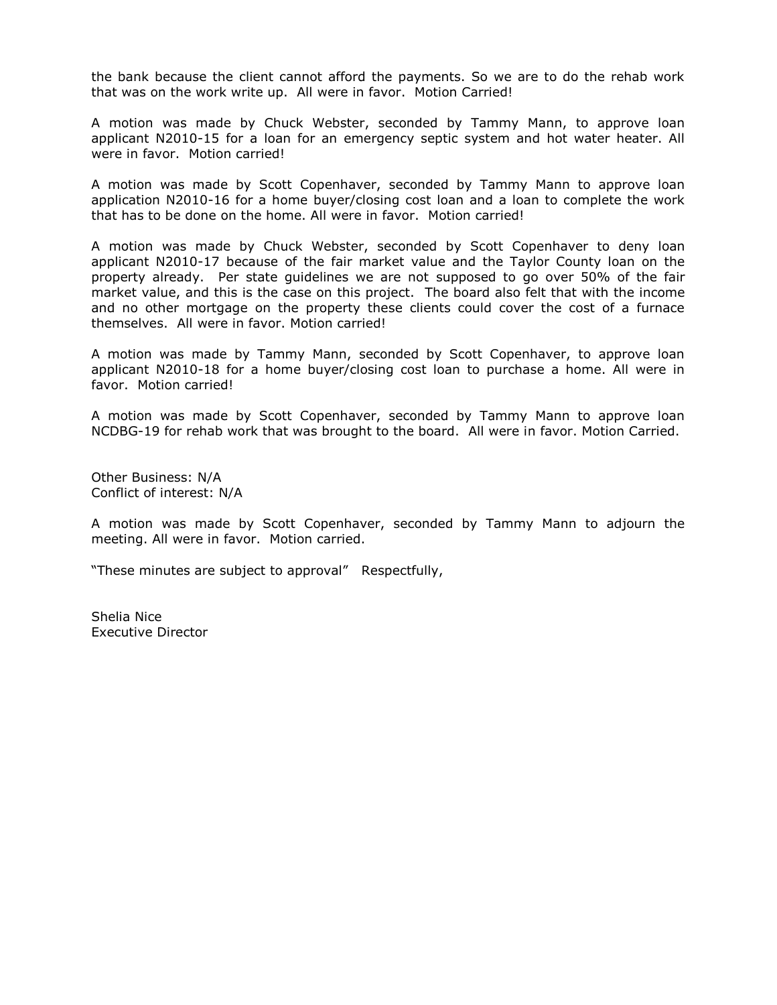the bank because the client cannot afford the payments. So we are to do the rehab work that was on the work write up. All were in favor. Motion Carried!

A motion was made by Chuck Webster, seconded by Tammy Mann, to approve loan applicant N2010-15 for a loan for an emergency septic system and hot water heater. All were in favor. Motion carried!

A motion was made by Scott Copenhaver, seconded by Tammy Mann to approve loan application N2010-16 for a home buyer/closing cost loan and a loan to complete the work that has to be done on the home. All were in favor. Motion carried!

A motion was made by Chuck Webster, seconded by Scott Copenhaver to deny loan applicant N2010-17 because of the fair market value and the Taylor County loan on the property already. Per state guidelines we are not supposed to go over 50% of the fair market value, and this is the case on this project. The board also felt that with the income and no other mortgage on the property these clients could cover the cost of a furnace themselves. All were in favor. Motion carried!

A motion was made by Tammy Mann, seconded by Scott Copenhaver, to approve loan applicant N2010-18 for a home buyer/closing cost loan to purchase a home. All were in favor. Motion carried!

A motion was made by Scott Copenhaver, seconded by Tammy Mann to approve loan NCDBG-19 for rehab work that was brought to the board. All were in favor. Motion Carried.

Other Business: N/A Conflict of interest: N/A

A motion was made by Scott Copenhaver, seconded by Tammy Mann to adjourn the meeting. All were in favor. Motion carried.

"These minutes are subject to approval" Respectfully,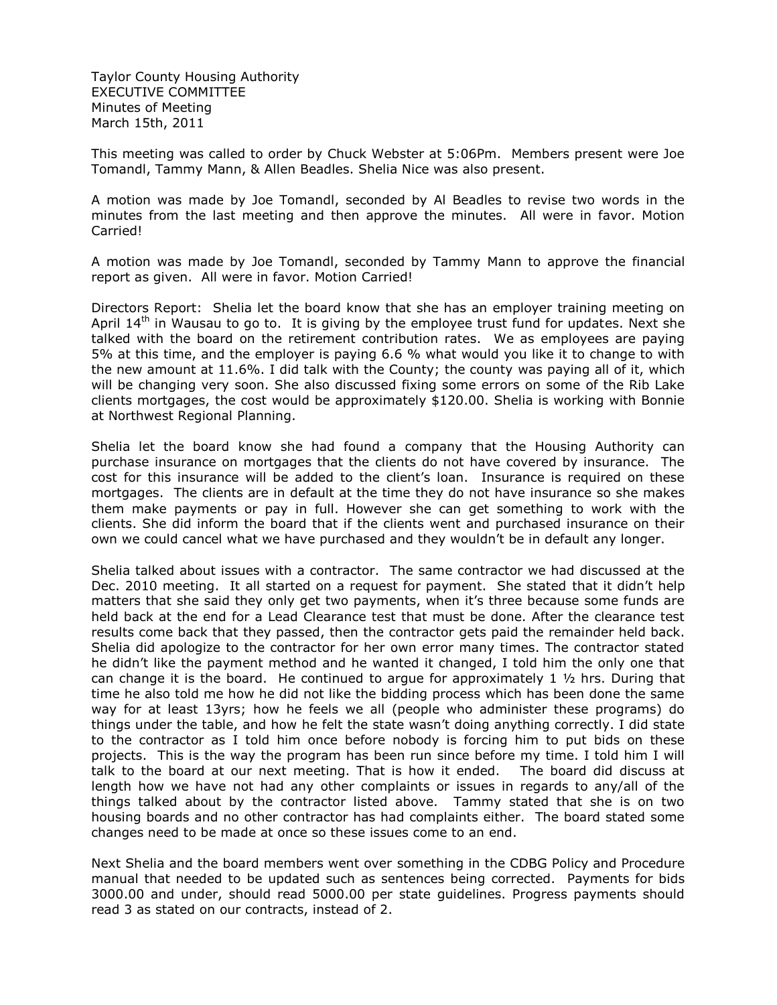Taylor County Housing Authority EXECUTIVE COMMITTEE Minutes of Meeting March 15th, 2011

This meeting was called to order by Chuck Webster at 5:06Pm. Members present were Joe Tomandl, Tammy Mann, & Allen Beadles. Shelia Nice was also present.

A motion was made by Joe Tomandl, seconded by Al Beadles to revise two words in the minutes from the last meeting and then approve the minutes. All were in favor. Motion Carried!

A motion was made by Joe Tomandl, seconded by Tammy Mann to approve the financial report as given. All were in favor. Motion Carried!

Directors Report: Shelia let the board know that she has an employer training meeting on April  $14<sup>th</sup>$  in Wausau to go to. It is giving by the employee trust fund for updates. Next she talked with the board on the retirement contribution rates. We as employees are paying 5% at this time, and the employer is paying 6.6 % what would you like it to change to with the new amount at 11.6%. I did talk with the County; the county was paying all of it, which will be changing very soon. She also discussed fixing some errors on some of the Rib Lake clients mortgages, the cost would be approximately \$120.00. Shelia is working with Bonnie at Northwest Regional Planning.

Shelia let the board know she had found a company that the Housing Authority can purchase insurance on mortgages that the clients do not have covered by insurance. The cost for this insurance will be added to the client's loan. Insurance is required on these mortgages. The clients are in default at the time they do not have insurance so she makes them make payments or pay in full. However she can get something to work with the clients. She did inform the board that if the clients went and purchased insurance on their own we could cancel what we have purchased and they wouldn't be in default any longer.

Shelia talked about issues with a contractor. The same contractor we had discussed at the Dec. 2010 meeting. It all started on a request for payment. She stated that it didn't help matters that she said they only get two payments, when it's three because some funds are held back at the end for a Lead Clearance test that must be done. After the clearance test results come back that they passed, then the contractor gets paid the remainder held back. Shelia did apologize to the contractor for her own error many times. The contractor stated he didn't like the payment method and he wanted it changed, I told him the only one that can change it is the board. He continued to argue for approximately 1  $\frac{1}{2}$  hrs. During that time he also told me how he did not like the bidding process which has been done the same way for at least 13yrs; how he feels we all (people who administer these programs) do things under the table, and how he felt the state wasn't doing anything correctly. I did state to the contractor as I told him once before nobody is forcing him to put bids on these projects. This is the way the program has been run since before my time. I told him I will talk to the board at our next meeting. That is how it ended. The board did discuss at length how we have not had any other complaints or issues in regards to any/all of the things talked about by the contractor listed above. Tammy stated that she is on two housing boards and no other contractor has had complaints either. The board stated some changes need to be made at once so these issues come to an end.

Next Shelia and the board members went over something in the CDBG Policy and Procedure manual that needed to be updated such as sentences being corrected. Payments for bids 3000.00 and under, should read 5000.00 per state guidelines. Progress payments should read 3 as stated on our contracts, instead of 2.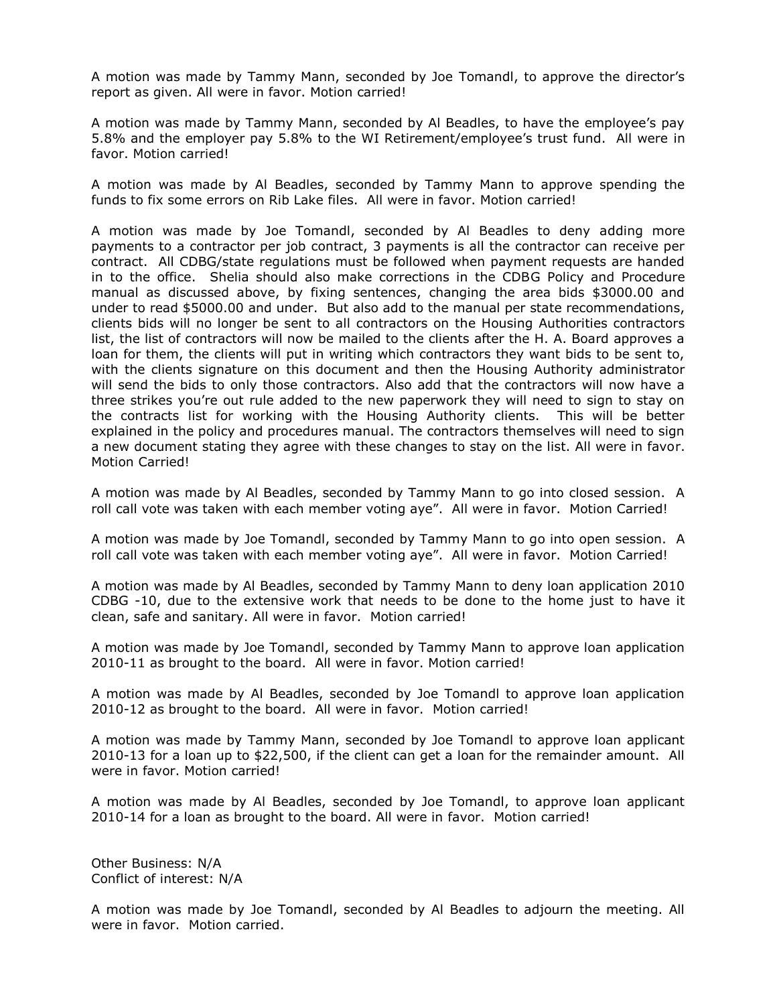A motion was made by Tammy Mann, seconded by Joe Tomandl, to approve the director's report as given. All were in favor. Motion carried!

A motion was made by Tammy Mann, seconded by Al Beadles, to have the employee's pay 5.8% and the employer pay 5.8% to the WI Retirement/employee's trust fund. All were in favor. Motion carried!

A motion was made by Al Beadles, seconded by Tammy Mann to approve spending the funds to fix some errors on Rib Lake files. All were in favor. Motion carried!

A motion was made by Joe Tomandl, seconded by Al Beadles to deny adding more payments to a contractor per job contract, 3 payments is all the contractor can receive per contract. All CDBG/state regulations must be followed when payment requests are handed in to the office. Shelia should also make corrections in the CDBG Policy and Procedure manual as discussed above, by fixing sentences, changing the area bids \$3000.00 and under to read \$5000.00 and under. But also add to the manual per state recommendations, clients bids will no longer be sent to all contractors on the Housing Authorities contractors list, the list of contractors will now be mailed to the clients after the H. A. Board approves a loan for them, the clients will put in writing which contractors they want bids to be sent to, with the clients signature on this document and then the Housing Authority administrator will send the bids to only those contractors. Also add that the contractors will now have a three strikes you're out rule added to the new paperwork they will need to sign to stay on the contracts list for working with the Housing Authority clients. This will be better explained in the policy and procedures manual. The contractors themselves will need to sign a new document stating they agree with these changes to stay on the list. All were in favor. Motion Carried!

A motion was made by Al Beadles, seconded by Tammy Mann to go into closed session. A roll call vote was taken with each member voting aye". All were in favor. Motion Carried!

A motion was made by Joe Tomandl, seconded by Tammy Mann to go into open session. A roll call vote was taken with each member voting aye". All were in favor. Motion Carried!

A motion was made by Al Beadles, seconded by Tammy Mann to deny loan application 2010 CDBG -10, due to the extensive work that needs to be done to the home just to have it clean, safe and sanitary. All were in favor. Motion carried!

A motion was made by Joe Tomandl, seconded by Tammy Mann to approve loan application 2010-11 as brought to the board. All were in favor. Motion carried!

A motion was made by Al Beadles, seconded by Joe Tomandl to approve loan application 2010-12 as brought to the board. All were in favor. Motion carried!

A motion was made by Tammy Mann, seconded by Joe Tomandl to approve loan applicant 2010-13 for a loan up to \$22,500, if the client can get a loan for the remainder amount. All were in favor. Motion carried!

A motion was made by Al Beadles, seconded by Joe Tomandl, to approve loan applicant 2010-14 for a loan as brought to the board. All were in favor. Motion carried!

Other Business: N/A Conflict of interest: N/A

A motion was made by Joe Tomandl, seconded by Al Beadles to adjourn the meeting. All were in favor. Motion carried.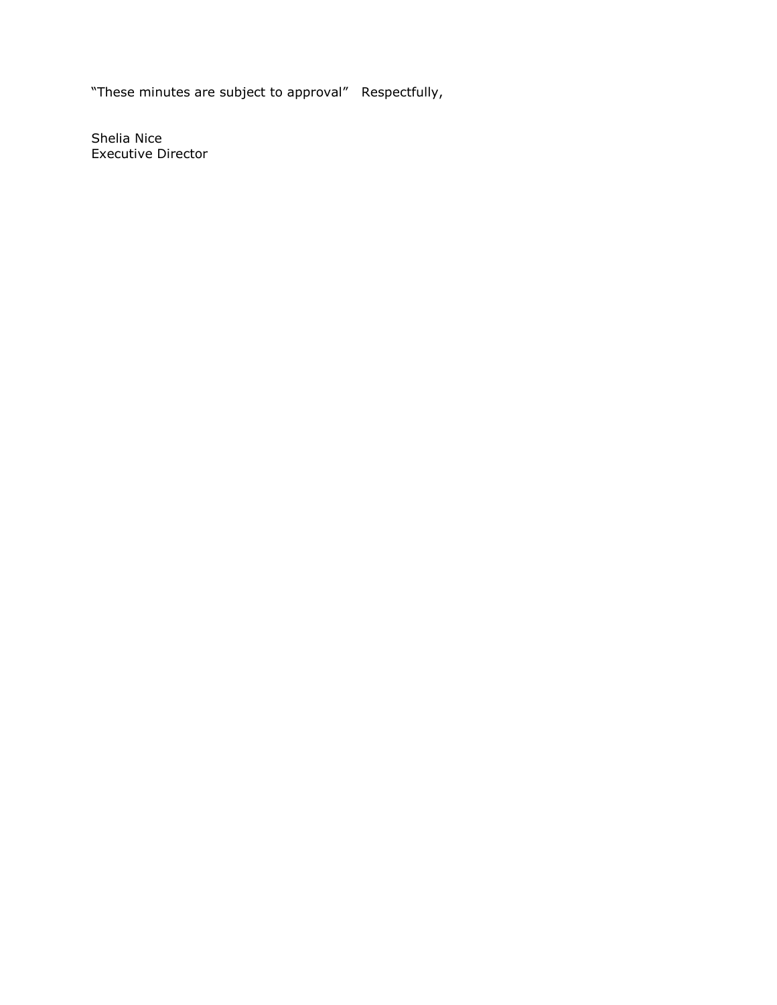"These minutes are subject to approval" Respectfully,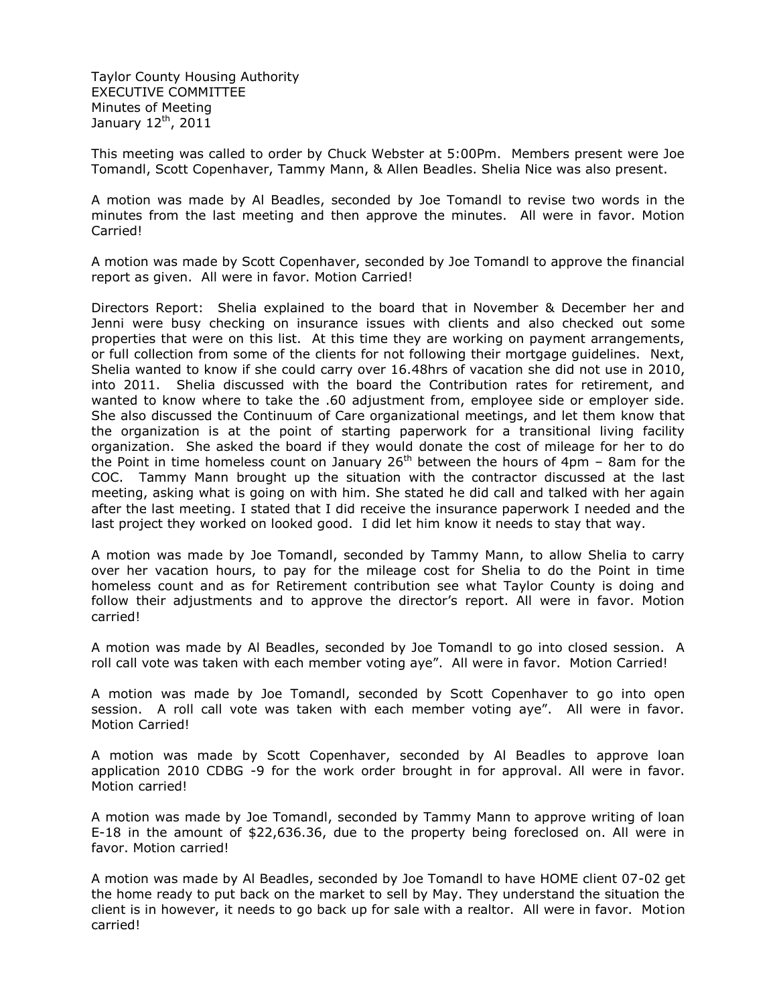Taylor County Housing Authority EXECUTIVE COMMITTEE Minutes of Meeting January  $12<sup>th</sup>$ , 2011

This meeting was called to order by Chuck Webster at 5:00Pm. Members present were Joe Tomandl, Scott Copenhaver, Tammy Mann, & Allen Beadles. Shelia Nice was also present.

A motion was made by Al Beadles, seconded by Joe Tomandl to revise two words in the minutes from the last meeting and then approve the minutes. All were in favor. Motion Carried!

A motion was made by Scott Copenhaver, seconded by Joe Tomandl to approve the financial report as given. All were in favor. Motion Carried!

Directors Report: Shelia explained to the board that in November & December her and Jenni were busy checking on insurance issues with clients and also checked out some properties that were on this list. At this time they are working on payment arrangements, or full collection from some of the clients for not following their mortgage guidelines. Next, Shelia wanted to know if she could carry over 16.48hrs of vacation she did not use in 2010, into 2011. Shelia discussed with the board the Contribution rates for retirement, and wanted to know where to take the .60 adjustment from, employee side or employer side. She also discussed the Continuum of Care organizational meetings, and let them know that the organization is at the point of starting paperwork for a transitional living facility organization. She asked the board if they would donate the cost of mileage for her to do the Point in time homeless count on January 26<sup>th</sup> between the hours of 4pm – 8am for the COC. Tammy Mann brought up the situation with the contractor discussed at the last meeting, asking what is going on with him. She stated he did call and talked with her again after the last meeting. I stated that I did receive the insurance paperwork I needed and the last project they worked on looked good. I did let him know it needs to stay that way.

A motion was made by Joe Tomandl, seconded by Tammy Mann, to allow Shelia to carry over her vacation hours, to pay for the mileage cost for Shelia to do the Point in time homeless count and as for Retirement contribution see what Taylor County is doing and follow their adjustments and to approve the director's report. All were in favor. Motion carried!

A motion was made by Al Beadles, seconded by Joe Tomandl to go into closed session. A roll call vote was taken with each member voting aye". All were in favor. Motion Carried!

A motion was made by Joe Tomandl, seconded by Scott Copenhaver to go into open session. A roll call vote was taken with each member voting aye". All were in favor. Motion Carried!

A motion was made by Scott Copenhaver, seconded by Al Beadles to approve loan application 2010 CDBG -9 for the work order brought in for approval. All were in favor. Motion carried!

A motion was made by Joe Tomandl, seconded by Tammy Mann to approve writing of loan E-18 in the amount of \$22,636.36, due to the property being foreclosed on. All were in favor. Motion carried!

A motion was made by Al Beadles, seconded by Joe Tomandl to have HOME client 07-02 get the home ready to put back on the market to sell by May. They understand the situation the client is in however, it needs to go back up for sale with a realtor. All were in favor. Motion carried!